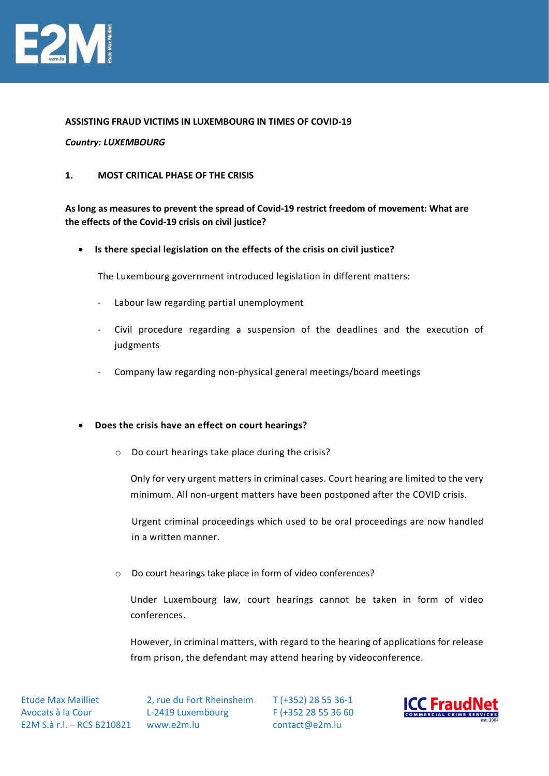

### ASSISTING FRAUD VICTIMS IN LUXEMBOURG IN TIMES OF COVID-19

### Country: LUXEMBOURG

### 1. MOST CRITICAL PHASE OF THE CRISIS

# As long as measures to prevent the spread of Covid-19 restrict freedom of movement: What are the effects of the Covid-19 crisis on civil justice?

• Is there special legislation on the effects of the crisis on civil justice?

The Luxembourg government introduced legislation in different matters:

- Labour law regarding partial unemployment
- Civil procedure regarding a suspension of the deadlines and the execution of judgments
- Company law regarding non-physical general meetings/board meetings

### Does the crisis have an effect on court hearings?

o Do court hearings take place during the crisis?

Only for very urgent matters in criminal cases. Court hearing are limited to the very minimum. All non-urgent matters have been postponed after the COVID crisis.

Urgent criminal proceedings which used to be oral proceedings are now handled in a written manner.

o Do court hearings take place in form of video conferences?

Under Luxembourg law, court hearings cannot be taken in form of video conferences.

However, in criminal matters, with regard to the hearing of applications for release from prison, the defendant may attend hearing by videoconference.

 Etude Max Mailliet Avocats à la Cour E2M S.à r.l. – RCS B210821 www.e2m.lu

 2, rue du Fort Rheinsheim L-2419 Luxembourg

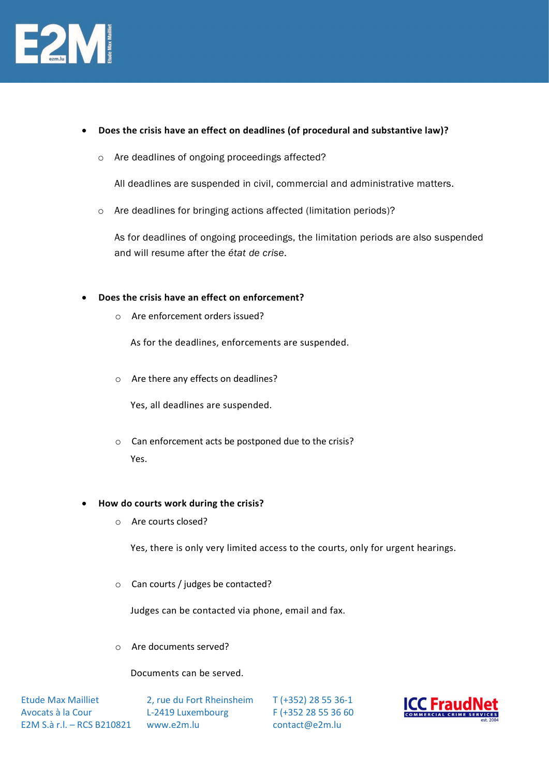

- Does the crisis have an effect on deadlines (of procedural and substantive law)?
	- o Are deadlines of ongoing proceedings affected?

All deadlines are suspended in civil, commercial and administrative matters.

o Are deadlines for bringing actions affected (limitation periods)?

As for deadlines of ongoing proceedings, the limitation periods are also suspended and will resume after the état de crise.

### Does the crisis have an effect on enforcement?

o Are enforcement orders issued?

As for the deadlines, enforcements are suspended.

o Are there any effects on deadlines?

Yes, all deadlines are suspended.

o Can enforcement acts be postponed due to the crisis? Yes.

### How do courts work during the crisis?

o Are courts closed?

Yes, there is only very limited access to the courts, only for urgent hearings.

o Can courts / judges be contacted?

Judges can be contacted via phone, email and fax.

o Are documents served?

### Documents can be served.

 Etude Max Mailliet Avocats à la Cour E2M S.à r.l. – RCS B210821 www.e2m.lu

 2, rue du Fort Rheinsheim L-2419 Luxembourg

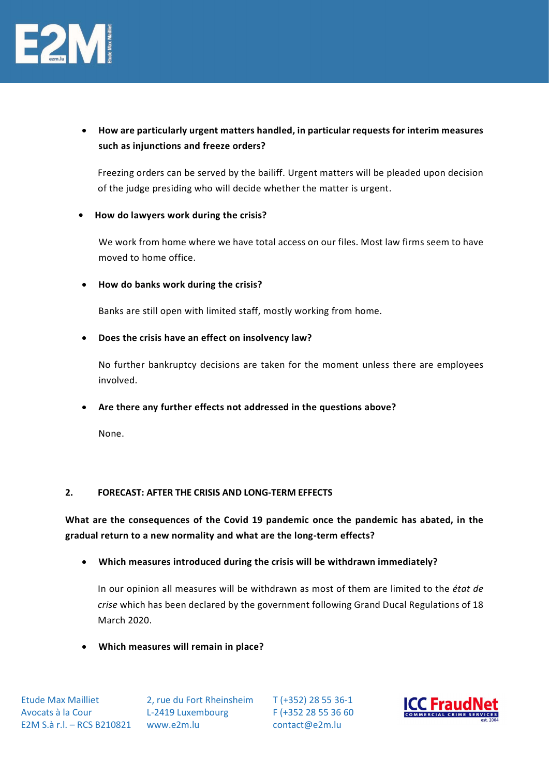

 How are particularly urgent matters handled, in particular requests for interim measures such as injunctions and freeze orders?

Freezing orders can be served by the bailiff. Urgent matters will be pleaded upon decision of the judge presiding who will decide whether the matter is urgent.

## • How do lawyers work during the crisis?

We work from home where we have total access on our files. Most law firms seem to have moved to home office.

## How do banks work during the crisis?

Banks are still open with limited staff, mostly working from home.

Does the crisis have an effect on insolvency law?

No further bankruptcy decisions are taken for the moment unless there are employees involved.

Are there any further effects not addressed in the questions above?

None.

### 2. FORECAST: AFTER THE CRISIS AND LONG-TERM EFFECTS

What are the consequences of the Covid 19 pandemic once the pandemic has abated, in the gradual return to a new normality and what are the long-term effects?

Which measures introduced during the crisis will be withdrawn immediately?

In our opinion all measures will be withdrawn as most of them are limited to the état de crise which has been declared by the government following Grand Ducal Regulations of 18 March 2020.

Which measures will remain in place?

 2, rue du Fort Rheinsheim L-2419 Luxembourg